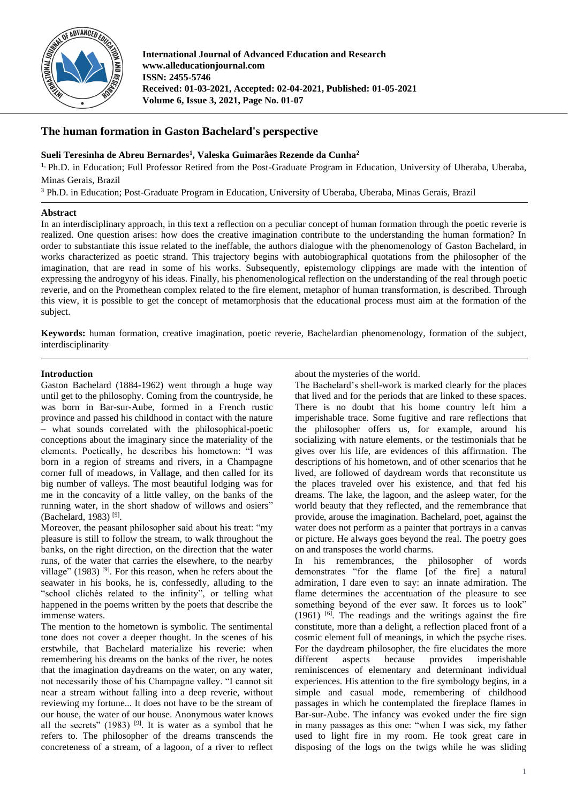

**International Journal of Advanced Education and Research www.alleducationjournal.com ISSN: 2455-5746 Received: 01-03-2021, Accepted: 02-04-2021, Published: 01-05-2021 Volume 6, Issue 3, 2021, Page No. 01-07**

# **The human formation in Gaston Bachelard's perspective**

**Sueli Teresinha de Abreu Bernardes<sup>1</sup> , Valeska Guimarães Rezende da Cunha<sup>2</sup>**

<sup>1,</sup> Ph.D. in Education; Full Professor Retired from the Post-Graduate Program in Education, University of Uberaba, Uberaba, Minas Gerais, Brazil

<sup>3</sup> Ph.D. in Education; Post-Graduate Program in Education, University of Uberaba, Uberaba, Minas Gerais, Brazil

## **Abstract**

In an interdisciplinary approach, in this text a reflection on a peculiar concept of human formation through the poetic reverie is realized. One question arises: how does the creative imagination contribute to the understanding the human formation? In order to substantiate this issue related to the ineffable, the authors dialogue with the phenomenology of Gaston Bachelard, in works characterized as poetic strand. This trajectory begins with autobiographical quotations from the philosopher of the imagination, that are read in some of his works. Subsequently, epistemology clippings are made with the intention of expressing the androgyny of his ideas. Finally, his phenomenological reflection on the understanding of the real through poetic reverie, and on the Promethean complex related to the fire element, metaphor of human transformation, is described. Through this view, it is possible to get the concept of metamorphosis that the educational process must aim at the formation of the subject.

**Keywords:** human formation, creative imagination, poetic reverie, Bachelardian phenomenology, formation of the subject, interdisciplinarity

## **Introduction**

Gaston Bachelard (1884-1962) went through a huge way until get to the philosophy. Coming from the countryside, he was born in Bar-sur-Aube, formed in a French rustic province and passed his childhood in contact with the nature – what sounds correlated with the philosophical-poetic conceptions about the imaginary since the materiality of the elements. Poetically, he describes his hometown: "I was born in a region of streams and rivers, in a Champagne corner full of meadows, in Vallage, and then called for its big number of valleys. The most beautiful lodging was for me in the concavity of a little valley, on the banks of the running water, in the short shadow of willows and osiers" (Bachelard, 1983)<sup>[9]</sup>.

Moreover, the peasant philosopher said about his treat: "my pleasure is still to follow the stream, to walk throughout the banks, on the right direction, on the direction that the water runs, of the water that carries the elsewhere, to the nearby village" (1983)<sup>[9]</sup>. For this reason, when he refers about the seawater in his books, he is, confessedly, alluding to the "school clichés related to the infinity", or telling what happened in the poems written by the poets that describe the immense waters.

The mention to the hometown is symbolic. The sentimental tone does not cover a deeper thought. In the scenes of his erstwhile, that Bachelard materialize his reverie: when remembering his dreams on the banks of the river, he notes that the imagination daydreams on the water, on any water, not necessarily those of his Champagne valley. "I cannot sit near a stream without falling into a deep reverie, without reviewing my fortune... It does not have to be the stream of our house, the water of our house. Anonymous water knows all the secrets"  $(1983)$  <sup>[9]</sup>. It is water as a symbol that he refers to. The philosopher of the dreams transcends the concreteness of a stream, of a lagoon, of a river to reflect

### about the mysteries of the world.

The Bachelard's shell-work is marked clearly for the places that lived and for the periods that are linked to these spaces. There is no doubt that his home country left him a imperishable trace. Some fugitive and rare reflections that the philosopher offers us, for example, around his socializing with nature elements, or the testimonials that he gives over his life, are evidences of this affirmation. The descriptions of his hometown, and of other scenarios that he lived, are followed of daydream words that reconstitute us the places traveled over his existence, and that fed his dreams. The lake, the lagoon, and the asleep water, for the world beauty that they reflected, and the remembrance that provide, arouse the imagination. Bachelard, poet, against the water does not perform as a painter that portrays in a canvas or picture. He always goes beyond the real. The poetry goes on and transposes the world charms.

In his remembrances, the philosopher of words demonstrates "for the flame [of the fire] a natural admiration, I dare even to say: an innate admiration. The flame determines the accentuation of the pleasure to see something beyond of the ever saw. It forces us to look" (1961) [6] . The readings and the writings against the fire constitute, more than a delight, a reflection placed front of a cosmic element full of meanings, in which the psyche rises. For the daydream philosopher, the fire elucidates the more different aspects because provides imperishable reminiscences of elementary and determinant individual experiences. His attention to the fire symbology begins, in a simple and casual mode, remembering of childhood passages in which he contemplated the fireplace flames in Bar-sur-Aube. The infancy was evoked under the fire sign in many passages as this one: "when I was sick, my father used to light fire in my room. He took great care in disposing of the logs on the twigs while he was sliding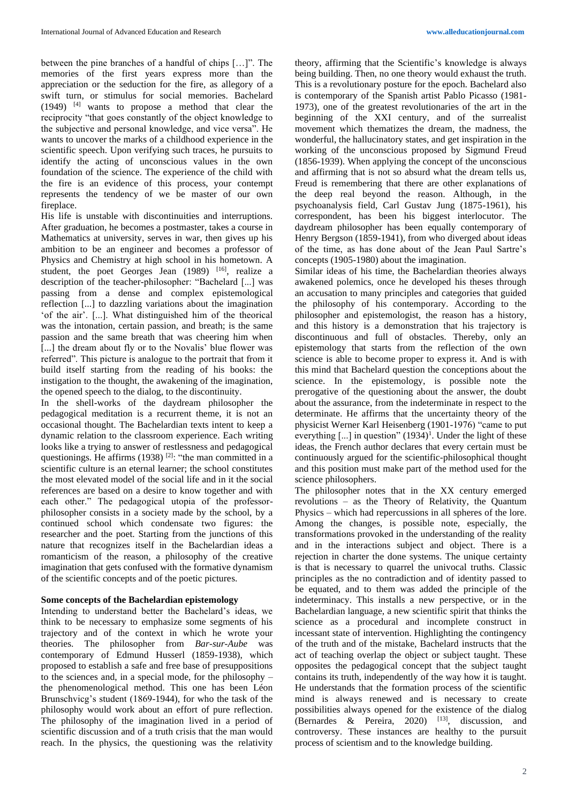between the pine branches of a handful of chips […]". The memories of the first years express more than the appreciation or the seduction for the fire, as allegory of a swift turn, or stimulus for social memories. Bachelard  $(1949)$  <sup>[4]</sup> wants to propose a method that clear the reciprocity "that goes constantly of the object knowledge to the subjective and personal knowledge, and vice versa". He wants to uncover the marks of a childhood experience in the scientific speech. Upon verifying such traces, he pursuits to identify the acting of unconscious values in the own foundation of the science. The experience of the child with the fire is an evidence of this process, your contempt represents the tendency of we be master of our own fireplace.

His life is unstable with discontinuities and interruptions. After graduation, he becomes a postmaster, takes a course in Mathematics at university, serves in war, then gives up his ambition to be an engineer and becomes a professor of Physics and Chemistry at high school in his hometown. A student, the poet Georges Jean  $(1989)$  [16], realize a description of the teacher-philosopher: "Bachelard [...] was passing from a dense and complex epistemological reflection [...] to dazzling variations about the imagination 'of the air'. [...]. What distinguished him of the theorical was the intonation, certain passion, and breath; is the same passion and the same breath that was cheering him when [...] the dream about fly or to the Novalis' blue flower was referred". This picture is analogue to the portrait that from it build itself starting from the reading of his books: the instigation to the thought, the awakening of the imagination, the opened speech to the dialog, to the discontinuity.

In the shell-works of the daydream philosopher the pedagogical meditation is a recurrent theme, it is not an occasional thought. The Bachelardian texts intent to keep a dynamic relation to the classroom experience. Each writing looks like a trying to answer of restlessness and pedagogical questionings. He affirms  $(1938)$  <sup>[2]</sup>: "the man committed in a scientific culture is an eternal learner; the school constitutes the most elevated model of the social life and in it the social references are based on a desire to know together and with each other." The pedagogical utopia of the professorphilosopher consists in a society made by the school, by a continued school which condensate two figures: the researcher and the poet. Starting from the junctions of this nature that recognizes itself in the Bachelardian ideas a romanticism of the reason, a philosophy of the creative imagination that gets confused with the formative dynamism of the scientific concepts and of the poetic pictures.

# **Some concepts of the Bachelardian epistemology**

Intending to understand better the Bachelard's ideas, we think to be necessary to emphasize some segments of his trajectory and of the context in which he wrote your theories. The philosopher from *Bar-sur-Aube* was contemporary of Edmund Husserl (1859-1938), which proposed to establish a safe and free base of presuppositions to the sciences and, in a special mode, for the philosophy – the phenomenological method. This one has been Léon Brunschvicg's student (1869-1944), for who the task of the philosophy would work about an effort of pure reflection. The philosophy of the imagination lived in a period of scientific discussion and of a truth crisis that the man would reach. In the physics, the questioning was the relativity

theory, affirming that the Scientific's knowledge is always being building. Then, no one theory would exhaust the truth. This is a revolutionary posture for the epoch. Bachelard also is contemporary of the Spanish artist Pablo Picasso (1981- 1973), one of the greatest revolutionaries of the art in the beginning of the XXI century, and of the surrealist movement which thematizes the dream, the madness, the wonderful, the hallucinatory states, and get inspiration in the working of the unconscious proposed by Sigmund Freud (1856-1939). When applying the concept of the unconscious and affirming that is not so absurd what the dream tells us, Freud is remembering that there are other explanations of the deep real beyond the reason. Although, in the psychoanalysis field, Carl Gustav Jung (1875-1961), his correspondent, has been his biggest interlocutor. The daydream philosopher has been equally contemporary of Henry Bergson (1859-1941), from who diverged about ideas of the time, as has done about of the Jean Paul Sartre's concepts (1905-1980) about the imagination.

Similar ideas of his time, the Bachelardian theories always awakened polemics, once he developed his theses through an accusation to many principles and categories that guided the philosophy of his contemporary. According to the philosopher and epistemologist, the reason has a history, and this history is a demonstration that his trajectory is discontinuous and full of obstacles. Thereby, only an epistemology that starts from the reflection of the own science is able to become proper to express it. And is with this mind that Bachelard question the conceptions about the science. In the epistemology, is possible note the prerogative of the questioning about the answer, the doubt about the assurance, from the indeterminate in respect to the determinate. He affirms that the uncertainty theory of the physicist Werner Karl Heisenberg (1901-1976) "came to put everything  $[...]$  in question"  $(1934)^1$ . Under the light of these ideas, the French author declares that every certain must be continuously argued for the scientific-philosophical thought and this position must make part of the method used for the science philosophers.

The philosopher notes that in the XX century emerged revolutions – as the Theory of Relativity, the Quantum Physics – which had repercussions in all spheres of the lore. Among the changes, is possible note, especially, the transformations provoked in the understanding of the reality and in the interactions subject and object. There is a rejection in charter the done systems. The unique certainty is that is necessary to quarrel the univocal truths. Classic principles as the no contradiction and of identity passed to be equated, and to them was added the principle of the indeterminacy. This installs a new perspective, or in the Bachelardian language, a new scientific spirit that thinks the science as a procedural and incomplete construct in incessant state of intervention. Highlighting the contingency of the truth and of the mistake, Bachelard instructs that the act of teaching overlap the object or subject taught. These opposites the pedagogical concept that the subject taught contains its truth, independently of the way how it is taught. He understands that the formation process of the scientific mind is always renewed and is necessary to create possibilities always opened for the existence of the dialog (Bernardes & Pereira, 2020)  $[13]$ , discussion, and controversy. These instances are healthy to the pursuit process of scientism and to the knowledge building.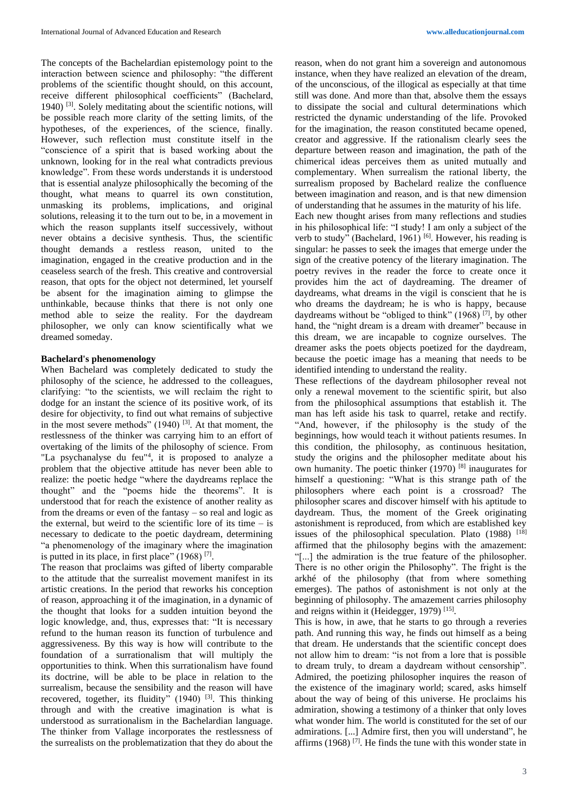The concepts of the Bachelardian epistemology point to the interaction between science and philosophy: "the different problems of the scientific thought should, on this account, receive different philosophical coefficients" (Bachelard, 1940) [3] . Solely meditating about the scientific notions, will be possible reach more clarity of the setting limits, of the hypotheses, of the experiences, of the science, finally. However, such reflection must constitute itself in the "conscience of a spirit that is based working about the unknown, looking for in the real what contradicts previous knowledge". From these words understands it is understood that is essential analyze philosophically the becoming of the thought, what means to quarrel its own constitution, unmasking its problems, implications, and original solutions, releasing it to the turn out to be, in a movement in which the reason supplants itself successively, without never obtains a decisive synthesis. Thus, the scientific thought demands a restless reason, united to the imagination, engaged in the creative production and in the ceaseless search of the fresh. This creative and controversial reason, that opts for the object not determined, let yourself be absent for the imagination aiming to glimpse the unthinkable, because thinks that there is not only one method able to seize the reality. For the daydream philosopher, we only can know scientifically what we dreamed someday.

### **Bachelard's phenomenology**

When Bachelard was completely dedicated to study the philosophy of the science, he addressed to the colleagues, clarifying: "to the scientists, we will reclaim the right to dodge for an instant the science of its positive work, of its desire for objectivity, to find out what remains of subjective in the most severe methods"  $(1940)$  <sup>[3]</sup>. At that moment, the restlessness of the thinker was carrying him to an effort of overtaking of the limits of the philosophy of science. From "La psychanalyse du feu"<sup>4</sup>, it is proposed to analyze a problem that the objective attitude has never been able to realize: the poetic hedge "where the daydreams replace the thought" and the "poems hide the theorems". It is understood that for reach the existence of another reality as from the dreams or even of the fantasy – so real and logic as the external, but weird to the scientific lore of its time  $-$  is necessary to dedicate to the poetic daydream, determining "a phenomenology of the imaginary where the imagination is putted in its place, in first place"  $(1968)$ <sup>[7]</sup>.

The reason that proclaims was gifted of liberty comparable to the attitude that the surrealist movement manifest in its artistic creations. In the period that reworks his conception of reason, approaching it of the imagination, in a dynamic of the thought that looks for a sudden intuition beyond the logic knowledge, and, thus, expresses that: "It is necessary refund to the human reason its function of turbulence and aggressiveness. By this way is how will contribute to the foundation of a surrationalism that will multiply the opportunities to think. When this surrationalism have found its doctrine, will be able to be place in relation to the surrealism, because the sensibility and the reason will have recovered, together, its fluidity"  $(1940)$ <sup>[3]</sup>. This thinking through and with the creative imagination is what is understood as surrationalism in the Bachelardian language. The thinker from Vallage incorporates the restlessness of the surrealists on the problematization that they do about the reason, when do not grant him a sovereign and autonomous instance, when they have realized an elevation of the dream, of the unconscious, of the illogical as especially at that time still was done. And more than that, absolve them the essays to dissipate the social and cultural determinations which restricted the dynamic understanding of the life. Provoked for the imagination, the reason constituted became opened, creator and aggressive. If the rationalism clearly sees the departure between reason and imagination, the path of the chimerical ideas perceives them as united mutually and complementary. When surrealism the rational liberty, the surrealism proposed by Bachelard realize the confluence between imagination and reason, and is that new dimension of understanding that he assumes in the maturity of his life.

Each new thought arises from many reflections and studies in his philosophical life: "I study! I am only a subject of the verb to study" (Bachelard, 1961)<sup>[6]</sup>. However, his reading is singular: he passes to seek the images that emerge under the sign of the creative potency of the literary imagination. The poetry revives in the reader the force to create once it provides him the act of daydreaming. The dreamer of daydreams, what dreams in the vigil is conscient that he is who dreams the daydream; he is who is happy, because daydreams without be "obliged to think"  $(1968)$ <sup>[7]</sup>, by other hand, the "night dream is a dream with dreamer" because in this dream, we are incapable to cognize ourselves. The dreamer asks the poets objects poetized for the daydream, because the poetic image has a meaning that needs to be identified intending to understand the reality.

These reflections of the daydream philosopher reveal not only a renewal movement to the scientific spirit, but also from the philosophical assumptions that establish it. The man has left aside his task to quarrel, retake and rectify. "And, however, if the philosophy is the study of the beginnings, how would teach it without patients resumes. In this condition, the philosophy, as continuous hesitation, study the origins and the philosopher meditate about his own humanity. The poetic thinker (1970) [8] inaugurates for himself a questioning: "What is this strange path of the philosophers where each point is a crossroad? The philosopher scares and discover himself with his aptitude to daydream. Thus, the moment of the Greek originating astonishment is reproduced, from which are established key issues of the philosophical speculation. Plato  $(1988)$ <sup>[18]</sup> affirmed that the philosophy begins with the amazement: "[...] the admiration is the true feature of the philosopher. There is no other origin the Philosophy". The fright is the arkhé of the philosophy (that from where something emerges). The pathos of astonishment is not only at the beginning of philosophy. The amazement carries philosophy and reigns within it (Heidegger, 1979)<sup>[15]</sup>.

This is how, in awe, that he starts to go through a reveries path. And running this way, he finds out himself as a being that dream. He understands that the scientific concept does not allow him to dream: "is not from a lore that is possible to dream truly, to dream a daydream without censorship". Admired, the poetizing philosopher inquires the reason of the existence of the imaginary world; scared, asks himself about the way of being of this universe. He proclaims his admiration, showing a testimony of a thinker that only loves what wonder him. The world is constituted for the set of our admirations. [...] Admire first, then you will understand", he affirms  $(1968)$ <sup>[7]</sup>. He finds the tune with this wonder state in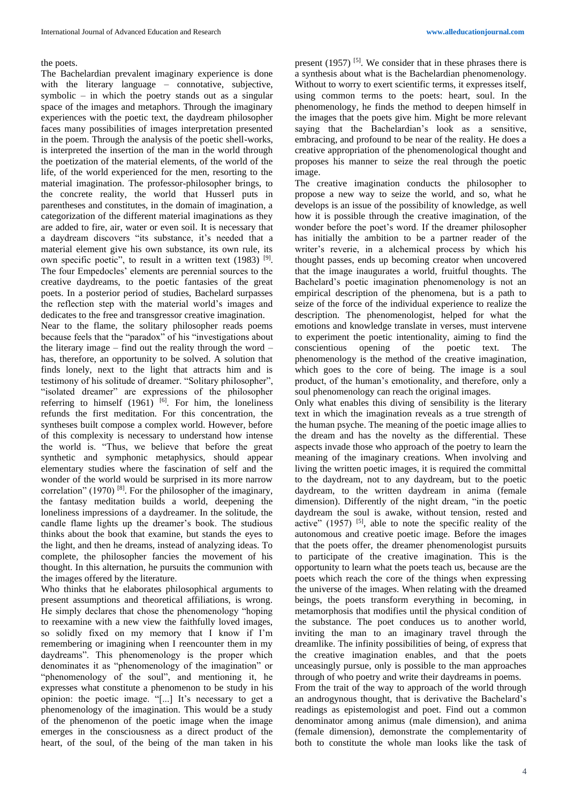#### the poets.

The Bachelardian prevalent imaginary experience is done with the literary language – connotative, subjective, symbolic – in which the poetry stands out as a singular space of the images and metaphors. Through the imaginary experiences with the poetic text, the daydream philosopher faces many possibilities of images interpretation presented in the poem. Through the analysis of the poetic shell-works, is interpreted the insertion of the man in the world through the poetization of the material elements, of the world of the life, of the world experienced for the men, resorting to the material imagination. The professor-philosopher brings, to the concrete reality, the world that Husserl puts in parentheses and constitutes, in the domain of imagination, a categorization of the different material imaginations as they are added to fire, air, water or even soil. It is necessary that a daydream discovers "its substance, it's needed that a material element give his own substance, its own rule, its own specific poetic", to result in a written text (1983) <sup>[9]</sup>. The four Empedocles' elements are perennial sources to the creative daydreams, to the poetic fantasies of the great poets. In a posterior period of studies, Bachelard surpasses the reflection step with the material world's images and dedicates to the free and transgressor creative imagination. Near to the flame, the solitary philosopher reads poems because feels that the "paradox" of his "investigations about the literary image – find out the reality through the word – has, therefore, an opportunity to be solved. A solution that finds lonely, next to the light that attracts him and is testimony of his solitude of dreamer. "Solitary philosopher", "isolated dreamer" are expressions of the philosopher referring to himself  $(1961)$  <sup>[6]</sup>. For him, the loneliness refunds the first meditation. For this concentration, the syntheses built compose a complex world. However, before of this complexity is necessary to understand how intense the world is. "Thus, we believe that before the great synthetic and symphonic metaphysics, should appear elementary studies where the fascination of self and the wonder of the world would be surprised in its more narrow correlation"  $(1970)$ <sup>[8]</sup>. For the philosopher of the imaginary, the fantasy meditation builds a world, deepening the loneliness impressions of a daydreamer. In the solitude, the candle flame lights up the dreamer's book. The studious thinks about the book that examine, but stands the eyes to the light, and then he dreams, instead of analyzing ideas. To complete, the philosopher fancies the movement of his thought. In this alternation, he pursuits the communion with

Who thinks that he elaborates philosophical arguments to present assumptions and theoretical affiliations, is wrong. He simply declares that chose the phenomenology "hoping to reexamine with a new view the faithfully loved images, so solidly fixed on my memory that I know if I'm remembering or imagining when I reencounter them in my daydreams". This phenomenology is the proper which denominates it as "phenomenology of the imagination" or "phenomenology of the soul", and mentioning it, he expresses what constitute a phenomenon to be study in his opinion: the poetic image. "[...] It's necessary to get a phenomenology of the imagination. This would be a study of the phenomenon of the poetic image when the image emerges in the consciousness as a direct product of the heart, of the soul, of the being of the man taken in his

the images offered by the literature.

present  $(1957)$  <sup>[5]</sup>. We consider that in these phrases there is a synthesis about what is the Bachelardian phenomenology. Without to worry to exert scientific terms, it expresses itself, using common terms to the poets: heart, soul. In the phenomenology, he finds the method to deepen himself in the images that the poets give him. Might be more relevant saying that the Bachelardian's look as a sensitive, embracing, and profound to be near of the reality. He does a creative appropriation of the phenomenological thought and proposes his manner to seize the real through the poetic image.

The creative imagination conducts the philosopher to propose a new way to seize the world, and so, what he develops is an issue of the possibility of knowledge, as well how it is possible through the creative imagination, of the wonder before the poet's word. If the dreamer philosopher has initially the ambition to be a partner reader of the writer's reverie, in a alchemical process by which his thought passes, ends up becoming creator when uncovered that the image inaugurates a world, fruitful thoughts. The Bachelard's poetic imagination phenomenology is not an empirical description of the phenomena, but is a path to seize of the force of the individual experience to realize the description. The phenomenologist, helped for what the emotions and knowledge translate in verses, must intervene to experiment the poetic intentionality, aiming to find the conscientious opening of the poetic text. The phenomenology is the method of the creative imagination, which goes to the core of being. The image is a soul product, of the human's emotionality, and therefore, only a soul phenomenology can reach the original images.

Only what enables this diving of sensibility is the literary text in which the imagination reveals as a true strength of the human psyche. The meaning of the poetic image allies to the dream and has the novelty as the differential. These aspects invade those who approach of the poetry to learn the meaning of the imaginary creations. When involving and living the written poetic images, it is required the committal to the daydream, not to any daydream, but to the poetic daydream, to the written daydream in anima (female dimension). Differently of the night dream, "in the poetic daydream the soul is awake, without tension, rested and active"  $(1957)$  <sup>[5]</sup>, able to note the specific reality of the autonomous and creative poetic image. Before the images that the poets offer, the dreamer phenomenologist pursuits to participate of the creative imagination. This is the opportunity to learn what the poets teach us, because are the poets which reach the core of the things when expressing the universe of the images. When relating with the dreamed beings, the poets transform everything in becoming, in metamorphosis that modifies until the physical condition of the substance. The poet conduces us to another world, inviting the man to an imaginary travel through the dreamlike. The infinity possibilities of being, of express that the creative imagination enables, and that the poets unceasingly pursue, only is possible to the man approaches through of who poetry and write their daydreams in poems. From the trait of the way to approach of the world through an androgynous thought, that is derivative the Bachelard's readings as epistemologist and poet. Find out a common denominator among animus (male dimension), and anima (female dimension), demonstrate the complementarity of both to constitute the whole man looks like the task of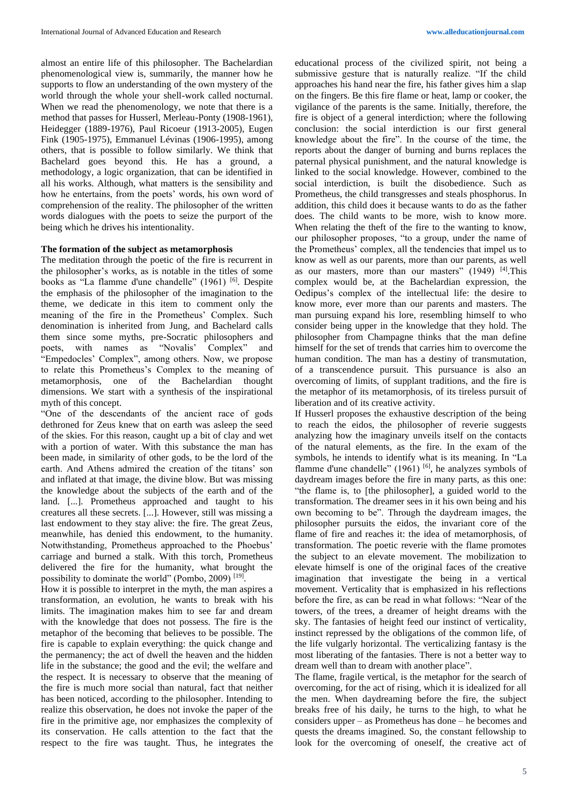almost an entire life of this philosopher. The Bachelardian phenomenological view is, summarily, the manner how he supports to flow an understanding of the own mystery of the world through the whole your shell-work called nocturnal. When we read the phenomenology, we note that there is a method that passes for Husserl, Merleau-Ponty (1908-1961), Heidegger (1889-1976), Paul Ricoeur (1913-2005), Eugen Fink (1905-1975), Emmanuel Lévinas (1906-1995), among others, that is possible to follow similarly. We think that Bachelard goes beyond this. He has a ground, a methodology, a logic organization, that can be identified in all his works. Although, what matters is the sensibility and how he entertains, from the poets' words, his own word of comprehension of the reality. The philosopher of the written words dialogues with the poets to seize the purport of the being which he drives his intentionality.

# **The formation of the subject as metamorphosis**

The meditation through the poetic of the fire is recurrent in the philosopher's works, as is notable in the titles of some books as "La flamme d'une chandelle" (1961) <sup>[6]</sup>. Despite the emphasis of the philosopher of the imagination to the theme, we dedicate in this item to comment only the meaning of the fire in the Prometheus' Complex. Such denomination is inherited from Jung, and Bachelard calls them since some myths, pre-Socratic philosophers and poets, with names as "Novalis' Complex" and "Empedocles' Complex", among others. Now, we propose to relate this Prometheus's Complex to the meaning of metamorphosis, one of the Bachelardian thought dimensions. We start with a synthesis of the inspirational myth of this concept.

"One of the descendants of the ancient race of gods dethroned for Zeus knew that on earth was asleep the seed of the skies. For this reason, caught up a bit of clay and wet with a portion of water. With this substance the man has been made, in similarity of other gods, to be the lord of the earth. And Athens admired the creation of the titans' son and inflated at that image, the divine blow. But was missing the knowledge about the subjects of the earth and of the land. [...]. Prometheus approached and taught to his creatures all these secrets. [...]. However, still was missing a last endowment to they stay alive: the fire. The great Zeus, meanwhile, has denied this endowment, to the humanity. Notwithstanding, Prometheus approached to the Phoebus' carriage and burned a stalk. With this torch, Prometheus delivered the fire for the humanity, what brought the possibility to dominate the world" (Pombo, 2009)<sup>[19]</sup>.

How it is possible to interpret in the myth, the man aspires a transformation, an evolution, he wants to break with his limits. The imagination makes him to see far and dream with the knowledge that does not possess. The fire is the metaphor of the becoming that believes to be possible. The fire is capable to explain everything: the quick change and the permanency; the act of dwell the heaven and the hidden life in the substance; the good and the evil; the welfare and the respect. It is necessary to observe that the meaning of the fire is much more social than natural, fact that neither has been noticed, according to the philosopher. Intending to realize this observation, he does not invoke the paper of the fire in the primitive age, nor emphasizes the complexity of its conservation. He calls attention to the fact that the respect to the fire was taught. Thus, he integrates the educational process of the civilized spirit, not being a submissive gesture that is naturally realize. "If the child approaches his hand near the fire, his father gives him a slap on the fingers. Be this fire flame or heat, lamp or cooker, the vigilance of the parents is the same. Initially, therefore, the fire is object of a general interdiction; where the following conclusion: the social interdiction is our first general knowledge about the fire". In the course of the time, the reports about the danger of burning and burns replaces the paternal physical punishment, and the natural knowledge is linked to the social knowledge. However, combined to the social interdiction, is built the disobedience. Such as Prometheus, the child transgresses and steals phosphorus. In addition, this child does it because wants to do as the father does. The child wants to be more, wish to know more. When relating the theft of the fire to the wanting to know, our philosopher proposes, "to a group, under the name of the Prometheus' complex, all the tendencies that impel us to know as well as our parents, more than our parents, as well as our masters, more than our masters" (1949) <sup>[4]</sup>. This complex would be, at the Bachelardian expression, the Oedipus's complex of the intellectual life: the desire to know more, ever more than our parents and masters. The man pursuing expand his lore, resembling himself to who consider being upper in the knowledge that they hold. The philosopher from Champagne thinks that the man define himself for the set of trends that carries him to overcome the human condition. The man has a destiny of transmutation, of a transcendence pursuit. This pursuance is also an overcoming of limits, of supplant traditions, and the fire is the metaphor of its metamorphosis, of its tireless pursuit of liberation and of its creative activity.

If Husserl proposes the exhaustive description of the being to reach the eidos, the philosopher of reverie suggests analyzing how the imaginary unveils itself on the contacts of the natural elements, as the fire. In the exam of the symbols, he intends to identify what is its meaning. In "La flamme d'une chandelle"  $(1961)$  [6], he analyzes symbols of daydream images before the fire in many parts, as this one: "the flame is, to [the philosopher], a guided world to the transformation. The dreamer sees in it his own being and his own becoming to be". Through the daydream images, the philosopher pursuits the eidos, the invariant core of the flame of fire and reaches it: the idea of metamorphosis, of transformation. The poetic reverie with the flame promotes the subject to an elevate movement. The mobilization to elevate himself is one of the original faces of the creative imagination that investigate the being in a vertical movement. Verticality that is emphasized in his reflections before the fire, as can be read in what follows: "Near of the towers, of the trees, a dreamer of height dreams with the sky. The fantasies of height feed our instinct of verticality, instinct repressed by the obligations of the common life, of the life vulgarly horizontal. The verticalizing fantasy is the most liberating of the fantasies. There is not a better way to dream well than to dream with another place".

The flame, fragile vertical, is the metaphor for the search of overcoming, for the act of rising, which it is idealized for all the men. When daydreaming before the fire, the subject breaks free of his daily, he turns to the high, to what he considers upper – as Prometheus has done – he becomes and quests the dreams imagined. So, the constant fellowship to look for the overcoming of oneself, the creative act of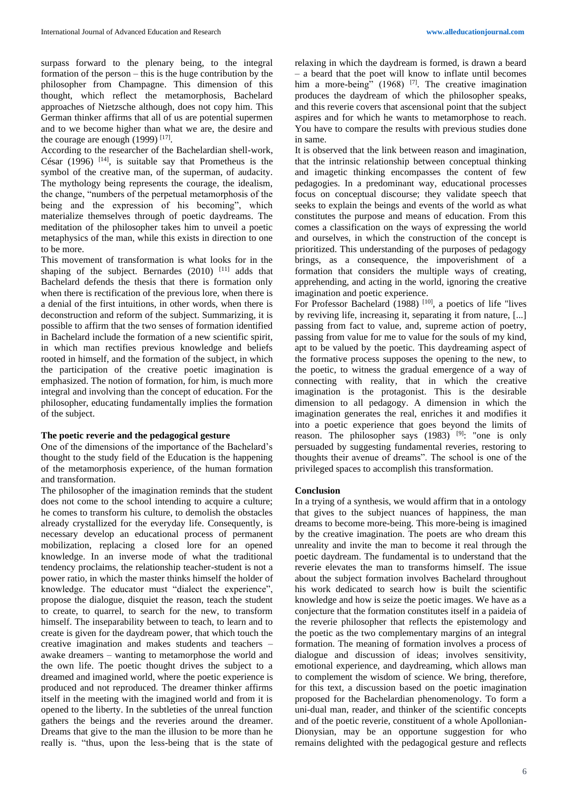surpass forward to the plenary being, to the integral formation of the person – this is the huge contribution by the philosopher from Champagne. This dimension of this thought, which reflect the metamorphosis, Bachelard approaches of Nietzsche although, does not copy him. This German thinker affirms that all of us are potential supermen and to we become higher than what we are, the desire and the courage are enough  $(1999)$  [17].

According to the researcher of the Bachelardian shell-work, César (1996)  $[14]$ , is suitable say that Prometheus is the symbol of the creative man, of the superman, of audacity. The mythology being represents the courage, the idealism, the change, "numbers of the perpetual metamorphosis of the being and the expression of his becoming", which materialize themselves through of poetic daydreams. The meditation of the philosopher takes him to unveil a poetic metaphysics of the man, while this exists in direction to one to be more.

This movement of transformation is what looks for in the shaping of the subject. Bernardes  $(2010)$ <sup>[11]</sup> adds that Bachelard defends the thesis that there is formation only when there is rectification of the previous lore, when there is a denial of the first intuitions, in other words, when there is deconstruction and reform of the subject. Summarizing, it is possible to affirm that the two senses of formation identified in Bachelard include the formation of a new scientific spirit, in which man rectifies previous knowledge and beliefs rooted in himself, and the formation of the subject, in which the participation of the creative poetic imagination is emphasized. The notion of formation, for him, is much more integral and involving than the concept of education. For the philosopher, educating fundamentally implies the formation of the subject.

### **The poetic reverie and the pedagogical gesture**

One of the dimensions of the importance of the Bachelard's thought to the study field of the Education is the happening of the metamorphosis experience, of the human formation and transformation.

The philosopher of the imagination reminds that the student does not come to the school intending to acquire a culture; he comes to transform his culture, to demolish the obstacles already crystallized for the everyday life. Consequently, is necessary develop an educational process of permanent mobilization, replacing a closed lore for an opened knowledge. In an inverse mode of what the traditional tendency proclaims, the relationship teacher-student is not a power ratio, in which the master thinks himself the holder of knowledge. The educator must "dialect the experience", propose the dialogue, disquiet the reason, teach the student to create, to quarrel, to search for the new, to transform himself. The inseparability between to teach, to learn and to create is given for the daydream power, that which touch the creative imagination and makes students and teachers – awake dreamers – wanting to metamorphose the world and the own life. The poetic thought drives the subject to a dreamed and imagined world, where the poetic experience is produced and not reproduced. The dreamer thinker affirms itself in the meeting with the imagined world and from it is opened to the liberty. In the subtleties of the unreal function gathers the beings and the reveries around the dreamer. Dreams that give to the man the illusion to be more than he really is. "thus, upon the less-being that is the state of relaxing in which the daydream is formed, is drawn a beard – a beard that the poet will know to inflate until becomes him a more-being"  $(1968)$ <sup>[7]</sup>. The creative imagination produces the daydream of which the philosopher speaks, and this reverie covers that ascensional point that the subject aspires and for which he wants to metamorphose to reach. You have to compare the results with previous studies done in same.

It is observed that the link between reason and imagination, that the intrinsic relationship between conceptual thinking and imagetic thinking encompasses the content of few pedagogies. In a predominant way, educational processes focus on conceptual discourse; they validate speech that seeks to explain the beings and events of the world as what constitutes the purpose and means of education. From this comes a classification on the ways of expressing the world and ourselves, in which the construction of the concept is prioritized. This understanding of the purposes of pedagogy brings, as a consequence, the impoverishment of a formation that considers the multiple ways of creating, apprehending, and acting in the world, ignoring the creative imagination and poetic experience.

For Professor Bachelard (1988)<sup>[10]</sup>, a poetics of life "lives by reviving life, increasing it, separating it from nature, [...] passing from fact to value, and, supreme action of poetry, passing from value for me to value for the souls of my kind, apt to be valued by the poetic. This daydreaming aspect of the formative process supposes the opening to the new, to the poetic, to witness the gradual emergence of a way of connecting with reality, that in which the creative imagination is the protagonist. This is the desirable dimension to all pedagogy. A dimension in which the imagination generates the real, enriches it and modifies it into a poetic experience that goes beyond the limits of reason. The philosopher says (1983) <sup>[9]</sup>: "one is only persuaded by suggesting fundamental reveries, restoring to thoughts their avenue of dreams". The school is one of the privileged spaces to accomplish this transformation.

### **Conclusion**

In a trying of a synthesis, we would affirm that in a ontology that gives to the subject nuances of happiness, the man dreams to become more-being. This more-being is imagined by the creative imagination. The poets are who dream this unreality and invite the man to become it real through the poetic daydream. The fundamental is to understand that the reverie elevates the man to transforms himself. The issue about the subject formation involves Bachelard throughout his work dedicated to search how is built the scientific knowledge and how is seize the poetic images. We have as a conjecture that the formation constitutes itself in a paideia of the reverie philosopher that reflects the epistemology and the poetic as the two complementary margins of an integral formation. The meaning of formation involves a process of dialogue and discussion of ideas; involves sensitivity, emotional experience, and daydreaming, which allows man to complement the wisdom of science. We bring, therefore, for this text, a discussion based on the poetic imagination proposed for the Bachelardian phenomenology. To form a uni-dual man, reader, and thinker of the scientific concepts and of the poetic reverie, constituent of a whole Apollonian-Dionysian, may be an opportune suggestion for who remains delighted with the pedagogical gesture and reflects